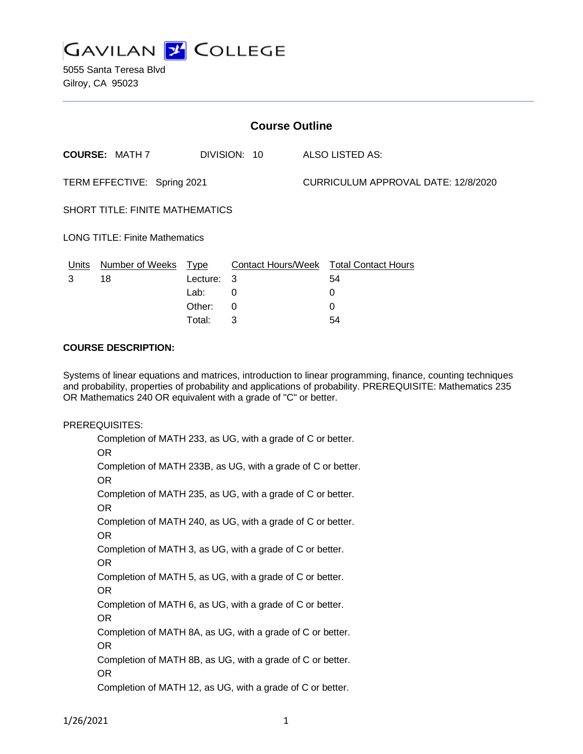

5055 Santa Teresa Blvd Gilroy, CA 95023

| <b>Course Outline</b>                  |                       |             |                           |                                     |                            |
|----------------------------------------|-----------------------|-------------|---------------------------|-------------------------------------|----------------------------|
|                                        | <b>COURSE: MATH 7</b> |             | DIVISION: 10              |                                     | ALSO LISTED AS:            |
| TERM EFFECTIVE: Spring 2021            |                       |             |                           | CURRICULUM APPROVAL DATE: 12/8/2020 |                            |
| <b>SHORT TITLE: FINITE MATHEMATICS</b> |                       |             |                           |                                     |                            |
| <b>LONG TITLE: Finite Mathematics</b>  |                       |             |                           |                                     |                            |
| Units                                  | Number of Weeks       | <b>Type</b> | <b>Contact Hours/Week</b> |                                     | <b>Total Contact Hours</b> |
| 3                                      | 18                    | Lecture: 3  |                           |                                     | 54                         |
|                                        |                       | Lab:        | 0                         |                                     | 0                          |
|                                        |                       | Other:      | 0                         |                                     | 0                          |

Total: 3 54

#### **COURSE DESCRIPTION:**

Systems of linear equations and matrices, introduction to linear programming, finance, counting techniques and probability, properties of probability and applications of probability. PREREQUISITE: Mathematics 235 OR Mathematics 240 OR equivalent with a grade of "C" or better.

#### PREREQUISITES:

Completion of MATH 233, as UG, with a grade of C or better. OR Completion of MATH 233B, as UG, with a grade of C or better. OR Completion of MATH 235, as UG, with a grade of C or better. OR Completion of MATH 240, as UG, with a grade of C or better. OR Completion of MATH 3, as UG, with a grade of C or better. OR Completion of MATH 5, as UG, with a grade of C or better. OR Completion of MATH 6, as UG, with a grade of C or better. OR Completion of MATH 8A, as UG, with a grade of C or better. OR Completion of MATH 8B, as UG, with a grade of C or better. OR Completion of MATH 12, as UG, with a grade of C or better.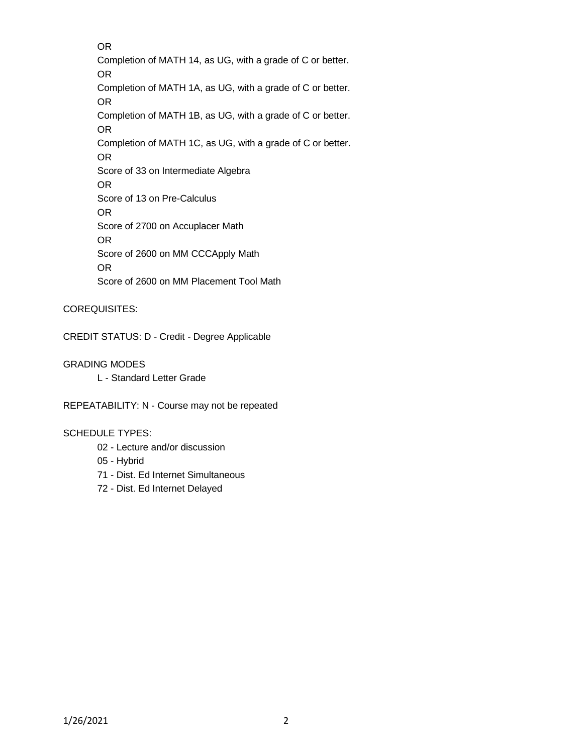OR Completion of MATH 14, as UG, with a grade of C or better. OR Completion of MATH 1A, as UG, with a grade of C or better. OR Completion of MATH 1B, as UG, with a grade of C or better. OR Completion of MATH 1C, as UG, with a grade of C or better. OR Score of 33 on Intermediate Algebra OR Score of 13 on Pre-Calculus OR Score of 2700 on Accuplacer Math OR Score of 2600 on MM CCCApply Math OR Score of 2600 on MM Placement Tool Math

### COREQUISITES:

CREDIT STATUS: D - Credit - Degree Applicable

### GRADING MODES

L - Standard Letter Grade

REPEATABILITY: N - Course may not be repeated

### SCHEDULE TYPES:

- 02 Lecture and/or discussion
- 05 Hybrid
- 71 Dist. Ed Internet Simultaneous
- 72 Dist. Ed Internet Delayed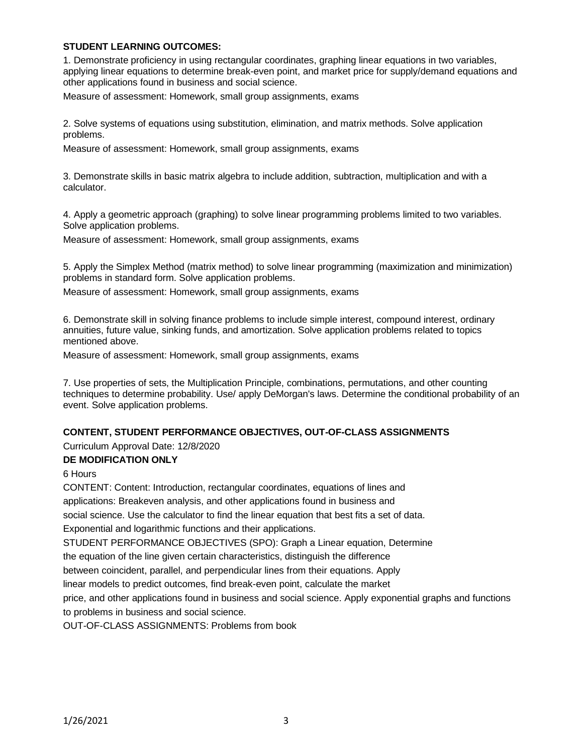### **STUDENT LEARNING OUTCOMES:**

1. Demonstrate proficiency in using rectangular coordinates, graphing linear equations in two variables, applying linear equations to determine break-even point, and market price for supply/demand equations and other applications found in business and social science.

Measure of assessment: Homework, small group assignments, exams

2. Solve systems of equations using substitution, elimination, and matrix methods. Solve application problems.

Measure of assessment: Homework, small group assignments, exams

3. Demonstrate skills in basic matrix algebra to include addition, subtraction, multiplication and with a calculator.

4. Apply a geometric approach (graphing) to solve linear programming problems limited to two variables. Solve application problems.

Measure of assessment: Homework, small group assignments, exams

5. Apply the Simplex Method (matrix method) to solve linear programming (maximization and minimization) problems in standard form. Solve application problems.

Measure of assessment: Homework, small group assignments, exams

6. Demonstrate skill in solving finance problems to include simple interest, compound interest, ordinary annuities, future value, sinking funds, and amortization. Solve application problems related to topics mentioned above.

Measure of assessment: Homework, small group assignments, exams

7. Use properties of sets, the Multiplication Principle, combinations, permutations, and other counting techniques to determine probability. Use/ apply DeMorgan's laws. Determine the conditional probability of an event. Solve application problems.

### **CONTENT, STUDENT PERFORMANCE OBJECTIVES, OUT-OF-CLASS ASSIGNMENTS**

Curriculum Approval Date: 12/8/2020

### **DE MODIFICATION ONLY**

6 Hours

CONTENT: Content: Introduction, rectangular coordinates, equations of lines and applications: Breakeven analysis, and other applications found in business and social science. Use the calculator to find the linear equation that best fits a set of data. Exponential and logarithmic functions and their applications. STUDENT PERFORMANCE OBJECTIVES (SPO): Graph a Linear equation, Determine the equation of the line given certain characteristics, distinguish the difference

between coincident, parallel, and perpendicular lines from their equations. Apply

linear models to predict outcomes, find break-even point, calculate the market

price, and other applications found in business and social science. Apply exponential graphs and functions to problems in business and social science.

OUT-OF-CLASS ASSIGNMENTS: Problems from book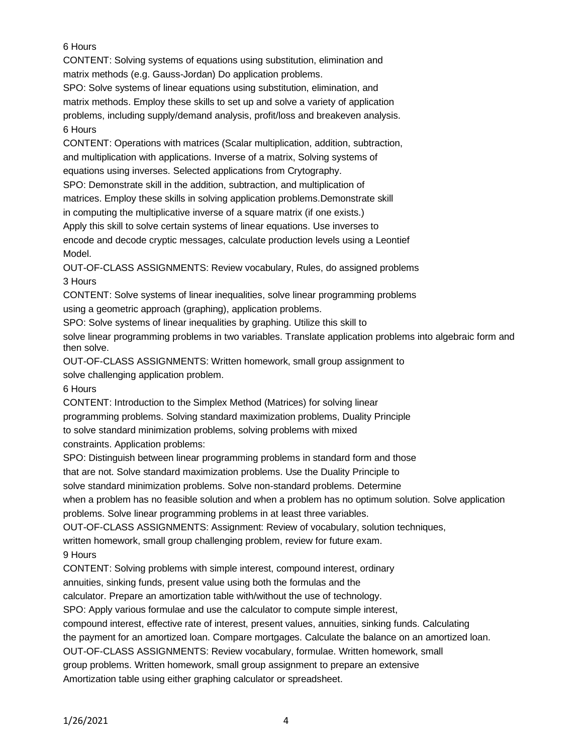# 6 Hours

CONTENT: Solving systems of equations using substitution, elimination and matrix methods (e.g. Gauss-Jordan) Do application problems.

SPO: Solve systems of linear equations using substitution, elimination, and matrix methods. Employ these skills to set up and solve a variety of application problems, including supply/demand analysis, profit/loss and breakeven analysis. 6 Hours

CONTENT: Operations with matrices (Scalar multiplication, addition, subtraction, and multiplication with applications. Inverse of a matrix, Solving systems of equations using inverses. Selected applications from Crytography.

SPO: Demonstrate skill in the addition, subtraction, and multiplication of matrices. Employ these skills in solving application problems.Demonstrate skill in computing the multiplicative inverse of a square matrix (if one exists.)

Apply this skill to solve certain systems of linear equations. Use inverses to encode and decode cryptic messages, calculate production levels using a Leontief Model.

OUT-OF-CLASS ASSIGNMENTS: Review vocabulary, Rules, do assigned problems 3 Hours

CONTENT: Solve systems of linear inequalities, solve linear programming problems using a geometric approach (graphing), application problems.

SPO: Solve systems of linear inequalities by graphing. Utilize this skill to solve linear programming problems in two variables. Translate application problems into algebraic form and then solve.

OUT-OF-CLASS ASSIGNMENTS: Written homework, small group assignment to solve challenging application problem.

# 6 Hours

CONTENT: Introduction to the Simplex Method (Matrices) for solving linear

programming problems. Solving standard maximization problems, Duality Principle

to solve standard minimization problems, solving problems with mixed

constraints. Application problems:

SPO: Distinguish between linear programming problems in standard form and those

that are not. Solve standard maximization problems. Use the Duality Principle to

solve standard minimization problems. Solve non-standard problems. Determine

when a problem has no feasible solution and when a problem has no optimum solution. Solve application

problems. Solve linear programming problems in at least three variables.

OUT-OF-CLASS ASSIGNMENTS: Assignment: Review of vocabulary, solution techniques,

written homework, small group challenging problem, review for future exam.

9 Hours

CONTENT: Solving problems with simple interest, compound interest, ordinary

annuities, sinking funds, present value using both the formulas and the

calculator. Prepare an amortization table with/without the use of technology.

SPO: Apply various formulae and use the calculator to compute simple interest,

compound interest, effective rate of interest, present values, annuities, sinking funds. Calculating

the payment for an amortized loan. Compare mortgages. Calculate the balance on an amortized loan.

OUT-OF-CLASS ASSIGNMENTS: Review vocabulary, formulae. Written homework, small

group problems. Written homework, small group assignment to prepare an extensive

Amortization table using either graphing calculator or spreadsheet.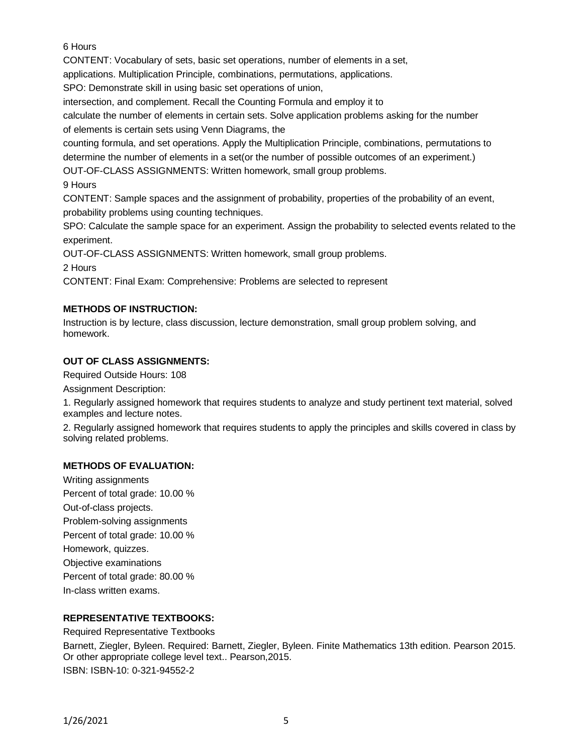6 Hours

CONTENT: Vocabulary of sets, basic set operations, number of elements in a set,

applications. Multiplication Principle, combinations, permutations, applications.

SPO: Demonstrate skill in using basic set operations of union,

intersection, and complement. Recall the Counting Formula and employ it to

calculate the number of elements in certain sets. Solve application problems asking for the number of elements is certain sets using Venn Diagrams, the

counting formula, and set operations. Apply the Multiplication Principle, combinations, permutations to determine the number of elements in a set(or the number of possible outcomes of an experiment.)

OUT-OF-CLASS ASSIGNMENTS: Written homework, small group problems.

9 Hours

CONTENT: Sample spaces and the assignment of probability, properties of the probability of an event, probability problems using counting techniques.

SPO: Calculate the sample space for an experiment. Assign the probability to selected events related to the experiment.

OUT-OF-CLASS ASSIGNMENTS: Written homework, small group problems.

2 Hours

CONTENT: Final Exam: Comprehensive: Problems are selected to represent

# **METHODS OF INSTRUCTION:**

Instruction is by lecture, class discussion, lecture demonstration, small group problem solving, and homework.

### **OUT OF CLASS ASSIGNMENTS:**

Required Outside Hours: 108

Assignment Description:

1. Regularly assigned homework that requires students to analyze and study pertinent text material, solved examples and lecture notes.

2. Regularly assigned homework that requires students to apply the principles and skills covered in class by solving related problems.

# **METHODS OF EVALUATION:**

Writing assignments Percent of total grade: 10.00 % Out-of-class projects. Problem-solving assignments Percent of total grade: 10.00 % Homework, quizzes. Objective examinations Percent of total grade: 80.00 % In-class written exams.

# **REPRESENTATIVE TEXTBOOKS:**

Required Representative Textbooks Barnett, Ziegler, Byleen. Required: Barnett, Ziegler, Byleen. Finite Mathematics 13th edition. Pearson 2015. Or other appropriate college level text.. Pearson,2015. ISBN: ISBN-10: 0-321-94552-2